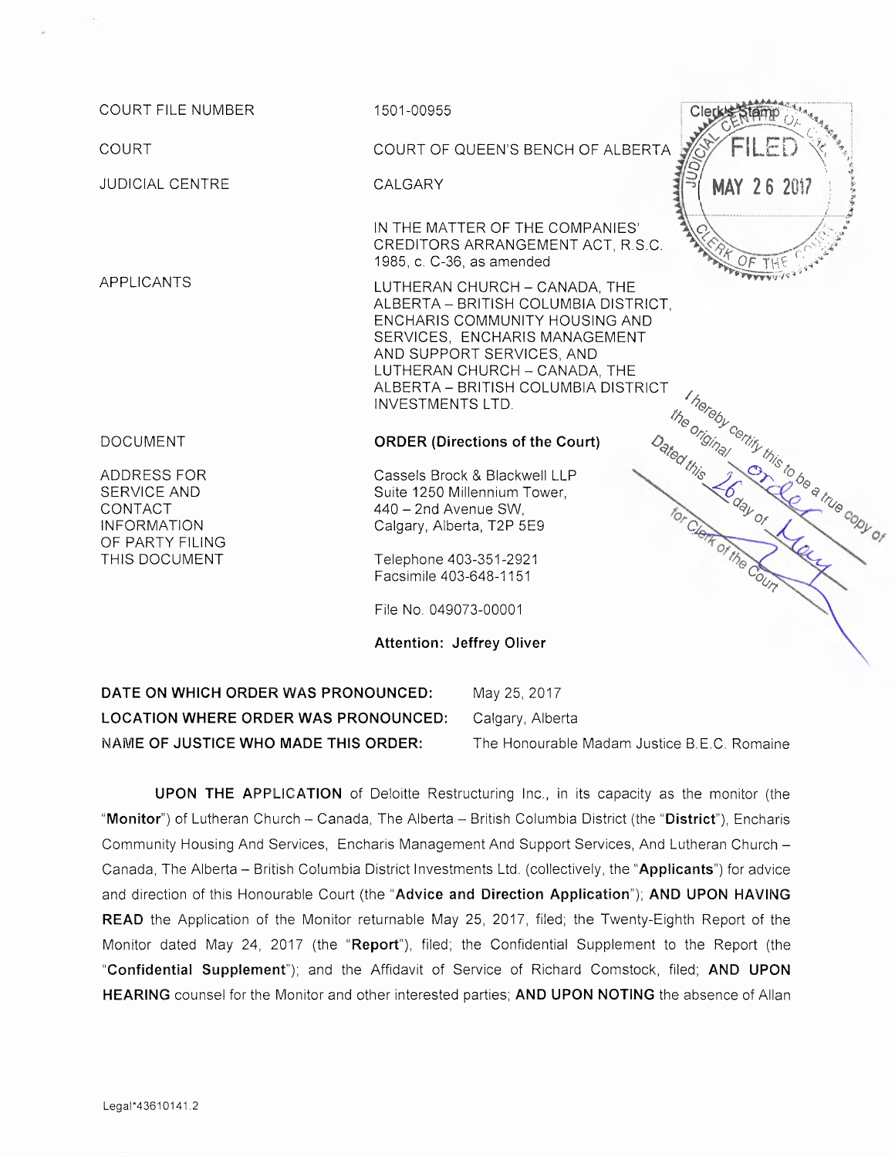| <b>COURT FILE NUMBER</b>                                                                        | 1501-00955                                                                                                                                                                                                                                                               |
|-------------------------------------------------------------------------------------------------|--------------------------------------------------------------------------------------------------------------------------------------------------------------------------------------------------------------------------------------------------------------------------|
| <b>COURT</b>                                                                                    | FILED<br>COURT OF QUEEN'S BENCH OF ALBERTA                                                                                                                                                                                                                               |
| <b>JUDICIAL CENTRE</b>                                                                          | <b>CALGARY</b><br><b>MAY 26 2017</b>                                                                                                                                                                                                                                     |
|                                                                                                 | IN THE MATTER OF THE COMPANIES'<br>CREDITORS ARRANGEMENT ACT, R.S.C.<br>1985, c. C-36, as amended                                                                                                                                                                        |
| <b>APPLICANTS</b>                                                                               | LUTHERAN CHURCH - CANADA, THE<br>ALBERTA - BRITISH COLUMBIA DISTRICT,<br>ENCHARIS COMMUNITY HOUSING AND<br>SERVICES, ENCHARIS MANAGEMENT<br>AND SUPPORT SERVICES, AND<br>LUTHERAN CHURCH - CANADA, THE<br>ALBERTA - BRITISH COLUMBIA DISTRICT<br><b>INVESTMENTS LTD.</b> |
| <b>DOCUMENT</b>                                                                                 | <b>ORDER (Directions of the Court)</b>                                                                                                                                                                                                                                   |
| ADDRESS FOR<br>SERVICE AND<br>CONTACT<br><b>INFORMATION</b><br>OF PARTY FILING<br>THIS DOCUMENT | I hereby certify this to be a true copy of<br>the original<br>Dated this Loday of N<br>Cassels Brock & Blackwell LLP<br>Suite 1250 Millennium Tower,<br>440 - 2nd Avenue SW.<br>Calgary, Alberta, T2P 5E9<br><b>THE OF The COUTY</b><br>Telephone 403-351-2921           |
|                                                                                                 | Facsimile 403-648-1151                                                                                                                                                                                                                                                   |
|                                                                                                 | File No. 049073-00001                                                                                                                                                                                                                                                    |
|                                                                                                 | <b>Attention: Jeffrey Oliver</b>                                                                                                                                                                                                                                         |
| DATE ON WHICH ORDER WAS PRONOUNCED:<br>May 25, 2017                                             |                                                                                                                                                                                                                                                                          |
| <b>LOCATION WHERE ORDER WAS PRONOUNCED:</b><br>Calgary, Alberta                                 |                                                                                                                                                                                                                                                                          |

UPON THE APPLICATION of Deloitte Restructuring Inc., in its capacity as the monitor (the "Monitor") of Lutheran Church - Canada, The Alberta - British Columbia District (the "District"), Encharis Community Housing And Services, Encharis Management And Support Services, And Lutheran Church — Canada, The Alberta —British Columbia District Investments Ltd. (collectively, the "Applicants") for advice and direction of this Honourable Court (the "Advice and Direction Application"); AND UPON HAVING READ the Application of the Monitor returnable May 25, 2017, filed; the Twenty-Eighth Report of the Monitor dated May 24, 2017 (the "Report"), filed; the Confidential Supplement to the Report (the "Confidential Supplement"); and the Affidavit of Service of Richard Comstock, filed; AND UPON HEARING counsel for the Monitor and other interested parties; AND UPON NOTING the absence of Allan

NAME OF JUSTICE WHO MADE THIS ORDER: The Honourable Madam Justice B.E.C. Romaine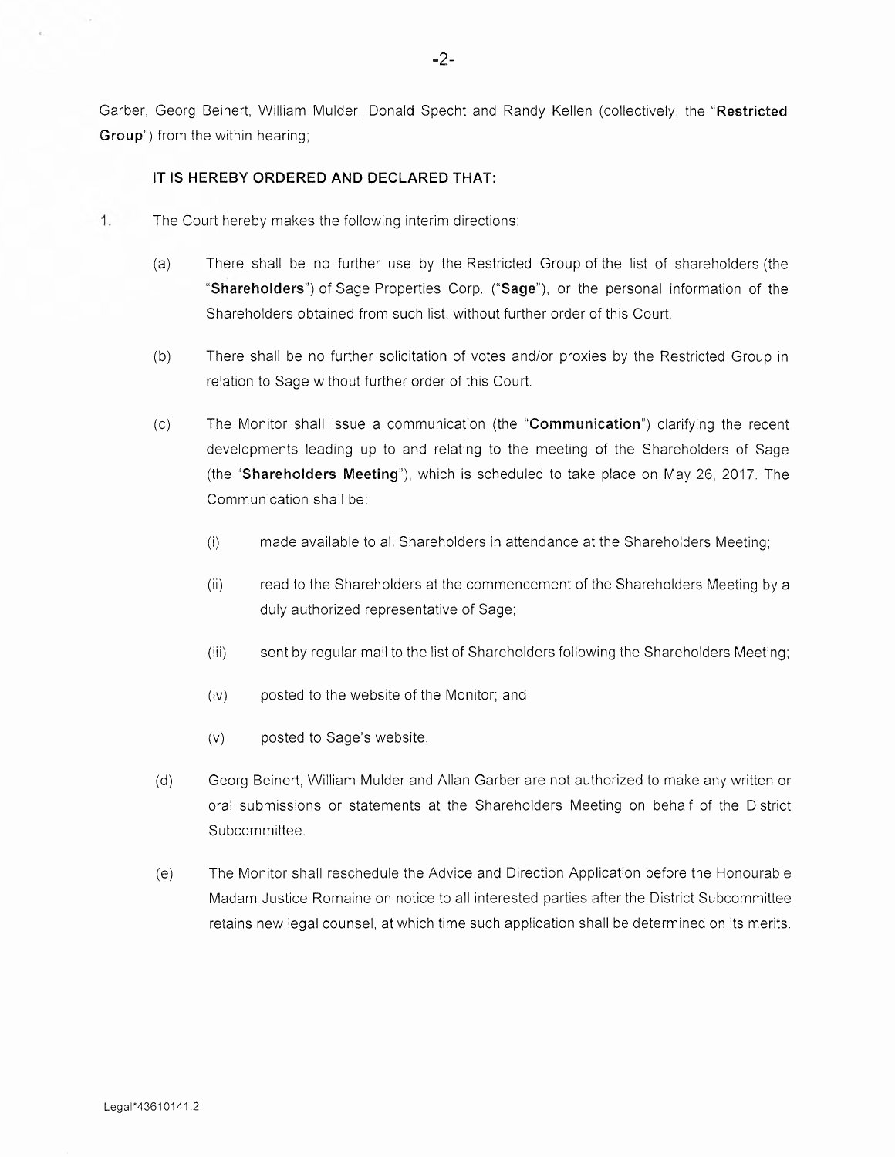Garber, Georg Beinert, William Mulder, Donald Specht and Randy Kellen (collectively, the "Restricted Group") from the within hearing;

## IT IS HEREBY ORDERED AND DECLARED THAT:

- <sup>1</sup> . The Court hereby makes the following interim directions:
	- (a) There shall be no further use by the Restricted Group of the list of shareholders (the "Shareholders") of Sage Properties Corp. ("Sage"), or the personal information of the Shareholders obtained from such list, without further order of this Court.
	- (b) There shall be no further solicitation of vofies and/or proxies by the Restricted Group in relation to Sage without further order of this Court.
	- (c) The Monitor shall issue a communication (the "Communication") clarifying the recent developments leading up to and relating to the meeting of the Shareholders of Sage (the "Shareholders Meeting"), which is scheduled to take place on May 26, 2017. The Communication shall be:
		- (i) made available to all Shareholders in attendance at the Shareholders Meeting;
		- (ii) read to the Shareholders at the commencement of the Shareholders Meeting by a duly authorized representative of Sage;
		- (iii) sent by regular mail to the list of Shareholders following fihe Shareholders Meeting;
		- (iv) posted to the website of the Monitor; and
		- (v) posted to Sage's website.
	- (d) Georg Beinert, William Mulder and Allan Garber are not authorized to make any written or oral submissions or statements at the Shareholders Meeting on behalf of the District Subcommittee.
	- (e) The Monitor shall reschedule the Advice and Direction Application before the Honourable Madam Justice Romaine on notice to all interested parties after the District Subcommittee retains new legal counsel, at which time such application shall be determined on its merifs.